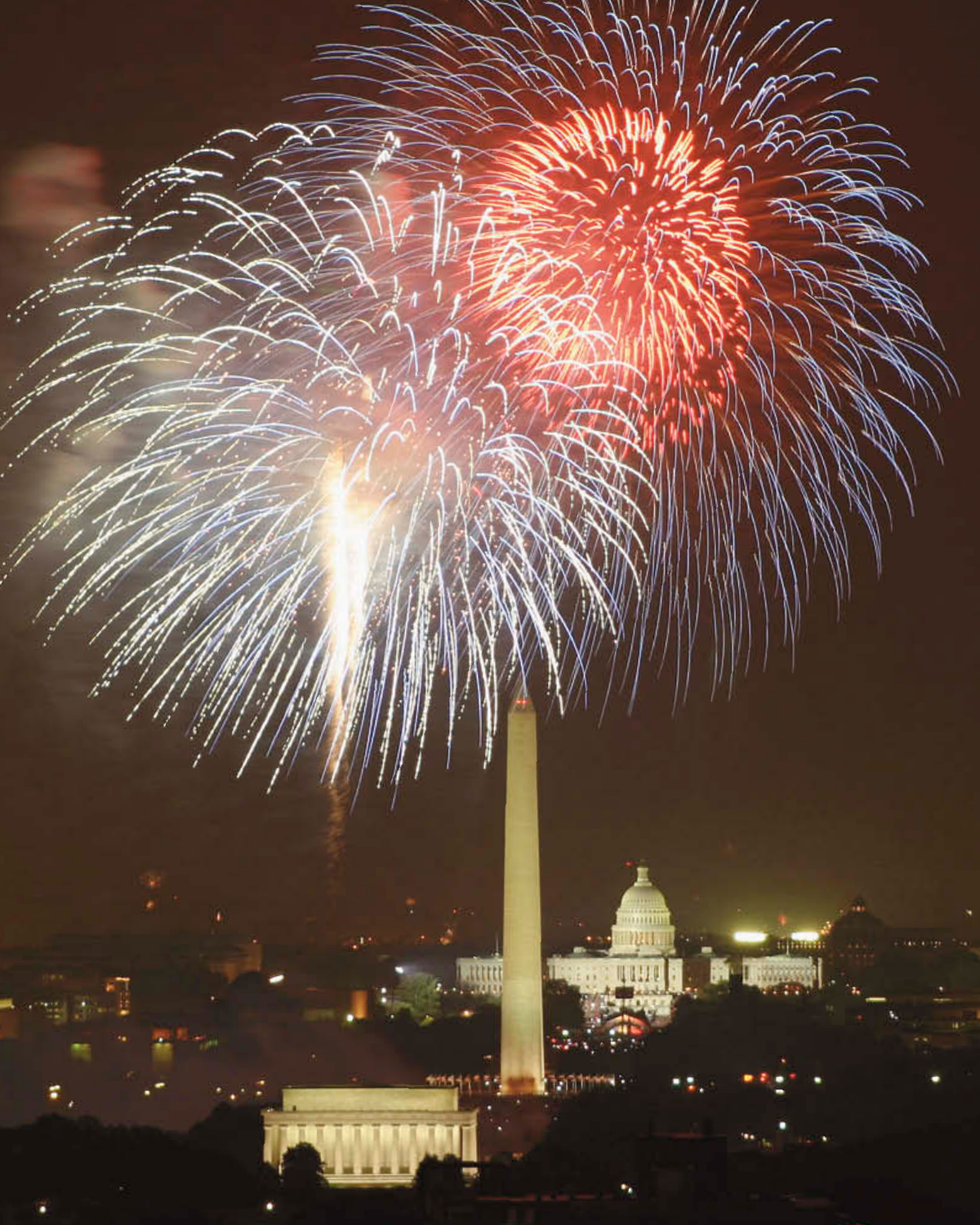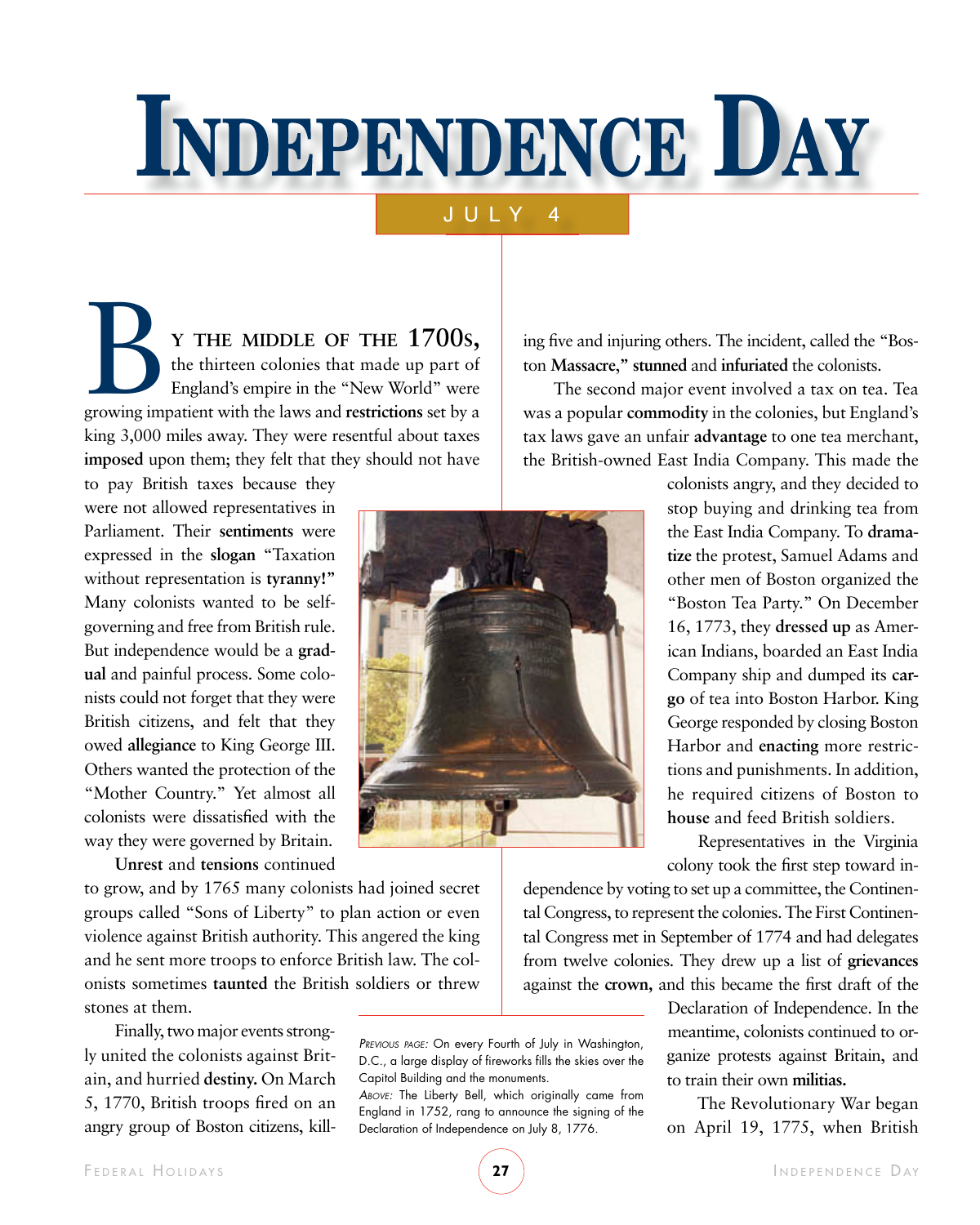# INDEPENDENCE DAY

#### JULY  $\overline{4}$

B **<sup>Y</sup> THE MIDDLE OF THE 1700S,** the thirteen colonies that made up part of England's empire in the " New World" were growing impatient with the laws and **restrictions** set by a king 3,000 miles away. They were resentful about taxes **imposed** upon them; they felt that they should not have

to pay British taxes because they were not allowed representatives in Parliament. Their **sentiments** were expressed in the **slogan** "Taxation without representation is **tyranny!"**  Many colonists wanted to be selfgoverning and free from British rule. But independence would be a **gradual** and painful process. Some colonists could not forget that they were British citizens, and felt that they owed **allegiance** to King George III. Others wanted the protection of the "Mother Country." Yet almost all colonists were dissatisfied with the way they were governed by Britain.

**Unrest** and **tensions** continued

to grow, and by 1765 many colonists had joined secret groups called "Sons of Liberty" to plan action or even violence against British authority. This angered the king and he sent more troops to enforce British law. The colonists sometimes **taunted** the British soldiers or threw stones at them.

Finally, two major events strongly united the colonists against Britain, and hurried **destiny.** On March 5, 1770, British troops fired on an angry group of Boston citizens, kill-



ing five and injuring others. The incident, called the "Boston **Massacre**,**" stunned** and **infuriated** the colonists.

The second major event involved a tax on tea. Tea was a popular **commodity** in the colonies, but England's tax laws gave an unfair **advantage** to one tea merchant, the British-owned East India Company. This made the

> colonists angry, and they decided to stop buying and drinking tea from the East India Company. To **dramatize** the protest, Samuel Adams and other men of Boston organized the "Boston Tea Party." On December 16, 1773, they **dressed up** as American Indians, boarded an East India Company ship and dumped its **cargo** of tea into Boston Harbor. King George responded by closing Boston Harbor and **enacting** more restrictions and punishments. In addition, he required citizens of Boston to **house** and feed British soldiers.

> Representatives in the Virginia colony took the first step toward in-

dependence by voting to set up a committee, the Continental Congress, to represent the colonies. The First Continental Congress met in September of 1774 and had delegates from twelve colonies. They drew up a list of **grievances** against the **crown**, and this became the first draft of the

> Declaration of Independence. In the meantime, colonists continued to organize protests against Britain, and to train their own **militias.**

> The Revolutionary War began on April 19, 1775, when British

F E D E R A L H O L I D A Y S **27** I N D E P E N D E N C E D A Y

*PREVIOUS PAGE:* On every Fourth of July in Washington, D.C., a large display of fireworks fills the skies over the

*ABOVE:* The Liberty Bell, which originally came from England in 1752, rang to announce the signing of the Declaration of Independence on July 8, 1776.

Capitol Building and the monuments.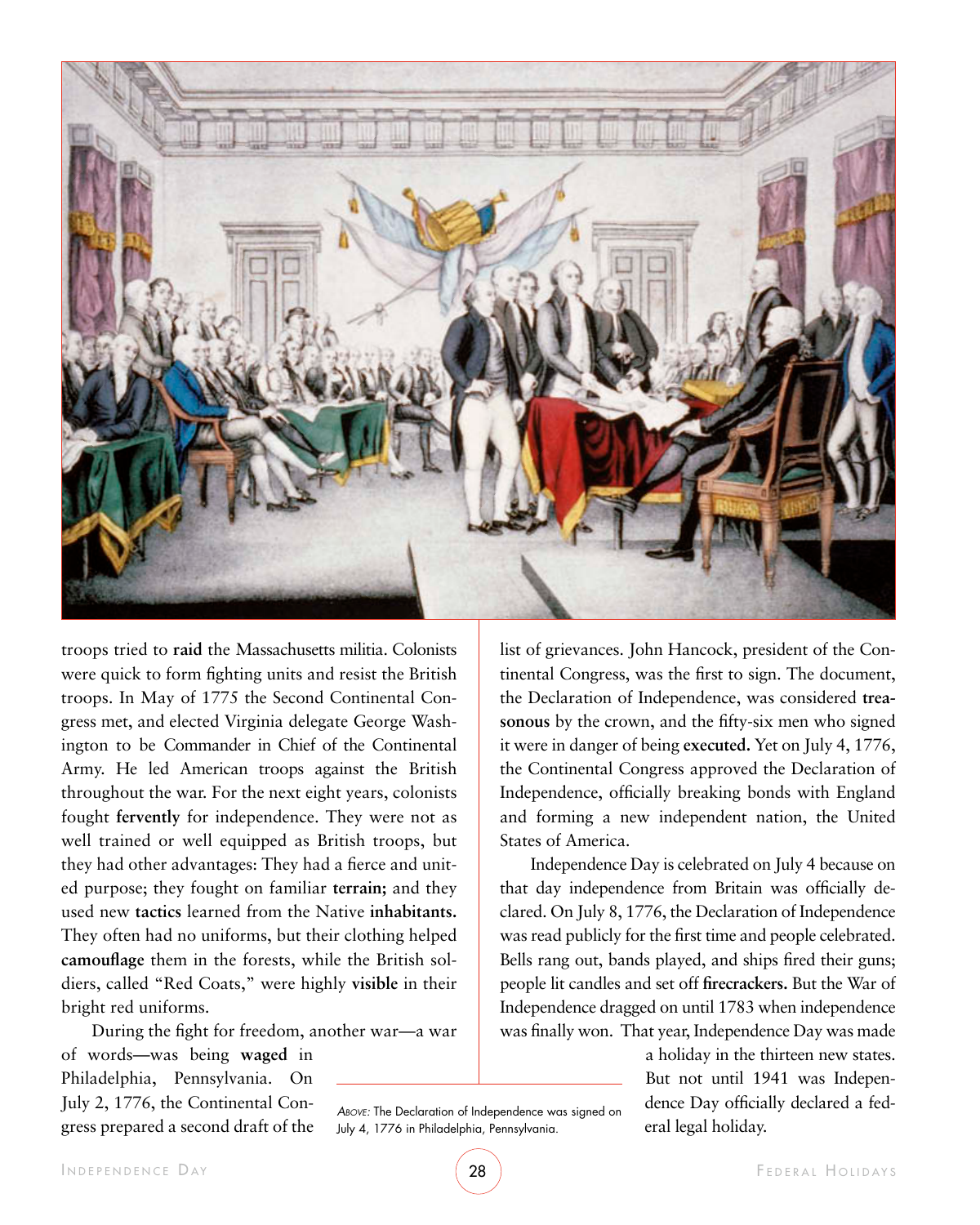

troops tried to **raid** the Massachusetts militia. Colonists were quick to form fighting units and resist the British troops. In May of 1775 the Second Continental Congress met, and elected Virginia delegate George Washington to be Commander in Chief of the Continental Army. He led American troops against the British throughout the war. For the next eight years, colonists fought **fervently** for independence. They were not as well trained or well equipped as British troops, but they had other advantages: They had a fierce and united purpose; they fought on familiar **terrain;** and they used new **tactics** learned from the Native **inhabitants.** They often had no uniforms, but their clothing helped **camouflage** them in the forests, while the British soldiers, called "Red Coats," were highly **visible** in their bright red uniforms.

During the fight for freedom, another war—a war of words—was being **waged** in

Philadelphia, Pennsylvania. On July 2, 1776, the Continental Congress prepared a second draft of the list of grievances. John Hancock, president of the Continental Congress, was the first to sign. The document, the Declaration of Independence, was considered **treasonous** by the crown, and the fifty-six men who signed it were in danger of being **executed.** Yet on July 4, 1776, the Continental Congress approved the Declaration of Independence, officially breaking bonds with England and forming a new independent nation, the United States of America.

Independence Day is celebrated on July 4 because on that day independence from Britain was officially declared. On July 8, 1776, the Declaration of Independence was read publicly for the first time and people celebrated. Bells rang out, bands played, and ships fired their guns; people lit candles and set off **firecrackers.** But the War of Independence dragged on until 1783 when independence was finally won. That year, Independence Day was made

> a holiday in the thirteen new states. But not until 1941 was Independence Day officially declared a federal legal holiday.

*Above:* The Declaration of Independence was signed on July 4, 1776 in Philadelphia, Pennsylvania.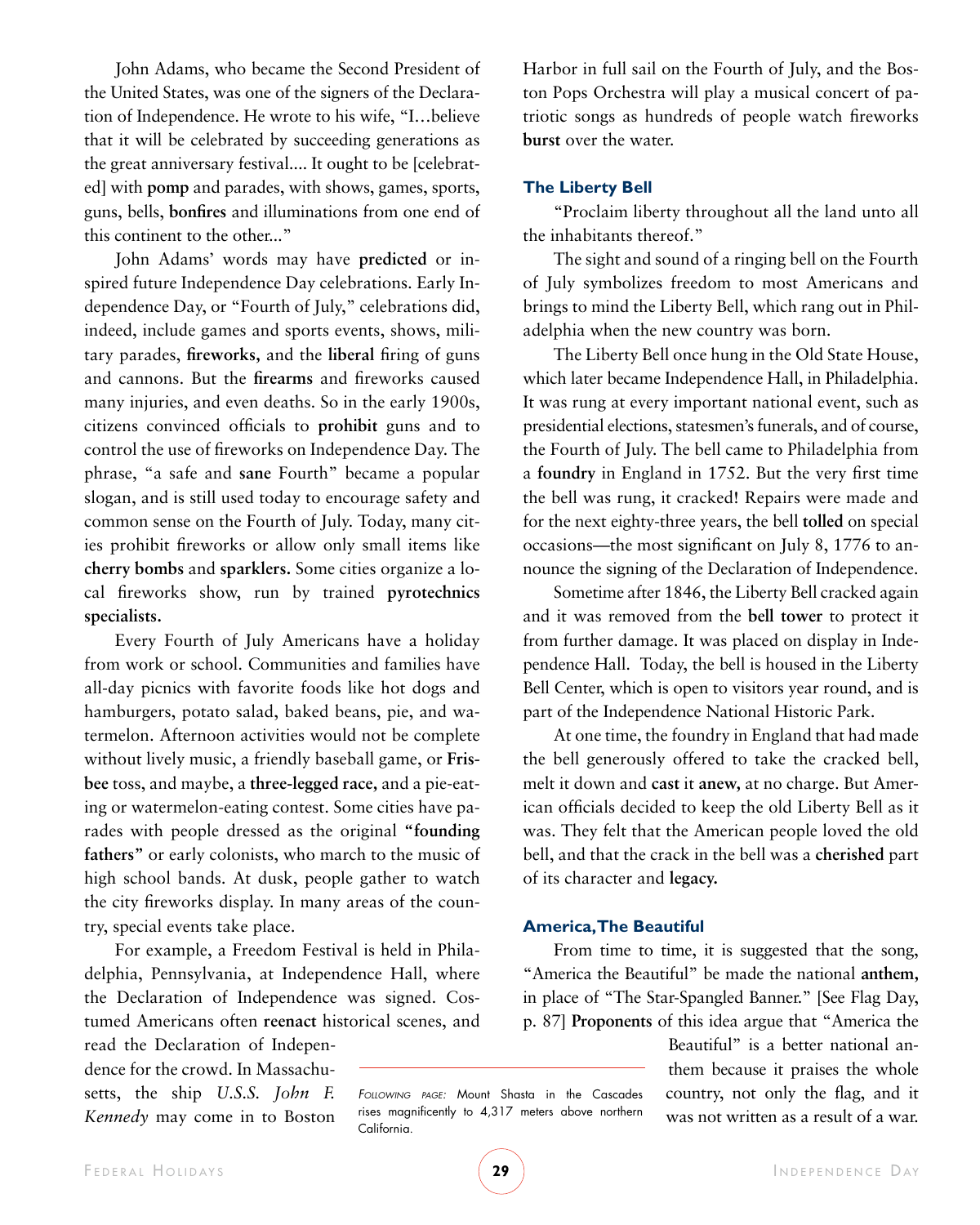John Adams, who became the Second President of the United States, was one of the signers of the Declaration of Independence. He wrote to his wife, "I…believe that it will be celebrated by succeeding generations as the great anniversary festival.... It ought to be [celebrated] with **pomp** and parades, with shows, games, sports, guns, bells, **bonfires** and illuminations from one end of this continent to the other..."

John Adams' words may have **predicted** or inspired future Independence Day celebrations. Early Independence Day, or "Fourth of July," celebrations did, indeed, include games and sports events, shows, military parades, **fireworks,** and the **liberal** firing of guns and cannons. But the **firearms** and fireworks caused many injuries, and even deaths. So in the early 1900s, citizens convinced officials to **prohibit** guns and to control the use of fireworks on Independence Day. The phrase, "a safe and **sane** Fourth" became a popular slogan, and is still used today to encourage safety and common sense on the Fourth of July. Today, many cities prohibit fireworks or allow only small items like **cherry bombs** and **sparklers.** Some cities organize a local fireworks show, run by trained **pyrotechnics specialists.**

Every Fourth of July Americans have a holiday from work or school. Communities and families have all-day picnics with favorite foods like hot dogs and hamburgers, potato salad, baked beans, pie, and watermelon. Afternoon activities would not be complete without lively music, a friendly baseball game, or **Frisbee** toss, and maybe, a **three-legged race,** and a pie-eating or watermelon-eating contest. Some cities have parades with people dressed as the original **"founding fathers"** or early colonists, who march to the music of high school bands. At dusk, people gather to watch the city fireworks display. In many areas of the country, special events take place.

For example, a Freedom Festival is held in Philadelphia, Pennsylvania, at Independence Hall, where the Declaration of Independence was signed. Costumed Americans often **reenact** historical scenes, and

read the Declaration of Independence for the crowd. In Massachusetts, the ship *U.S.S. John F. Kennedy* may come in to Boston Harbor in full sail on the Fourth of July, and the Boston Pops Orchestra will play a musical concert of patriotic songs as hundreds of people watch fireworks **burst** over the water.

### **The Liberty Bell**

"Proclaim liberty throughout all the land unto all the inhabitants thereof."

The sight and sound of a ringing bell on the Fourth of July symbolizes freedom to most Americans and brings to mind the Liberty Bell, which rang out in Philadelphia when the new country was born.

The Liberty Bell once hung in the Old State House, which later became Independence Hall, in Philadelphia. It was rung at every important national event, such as presidential elections, statesmen's funerals, and of course, the Fourth of July. The bell came to Philadelphia from a **foundry** in England in 1752. But the very first time the bell was rung, it cracked! Repairs were made and for the next eighty-three years, the bell **tolled** on special occasions—the most significant on July 8, 1776 to announce the signing of the Declaration of Independence.

Sometime after 1846, the Liberty Bell cracked again and it was removed from the **bell tower** to protect it from further damage. It was placed on display in Independence Hall. Today, the bell is housed in the Liberty Bell Center, which is open to visitors year round, and is part of the Independence National Historic Park.

At one time, the foundry in England that had made the bell generously offered to take the cracked bell, melt it down and **cast** it **anew,** at no charge. But American officials decided to keep the old Liberty Bell as it was. They felt that the American people loved the old bell, and that the crack in the bell was a **cherished** part of its character and **legacy.**

#### **America, The Beautiful**

From time to time, it is suggested that the song, "America the Beautiful" be made the national **anthem,** in place of "The Star-Spangled Banner." [See Flag Day, p. 87] **Proponents** of this idea argue that "America the

*Following page:* Mount Shasta in the Cascades rises magnificently to 4,317 meters above northern California.

Beautiful" is a better national anthem because it praises the whole country, not only the flag, and it was not written as a result of a war.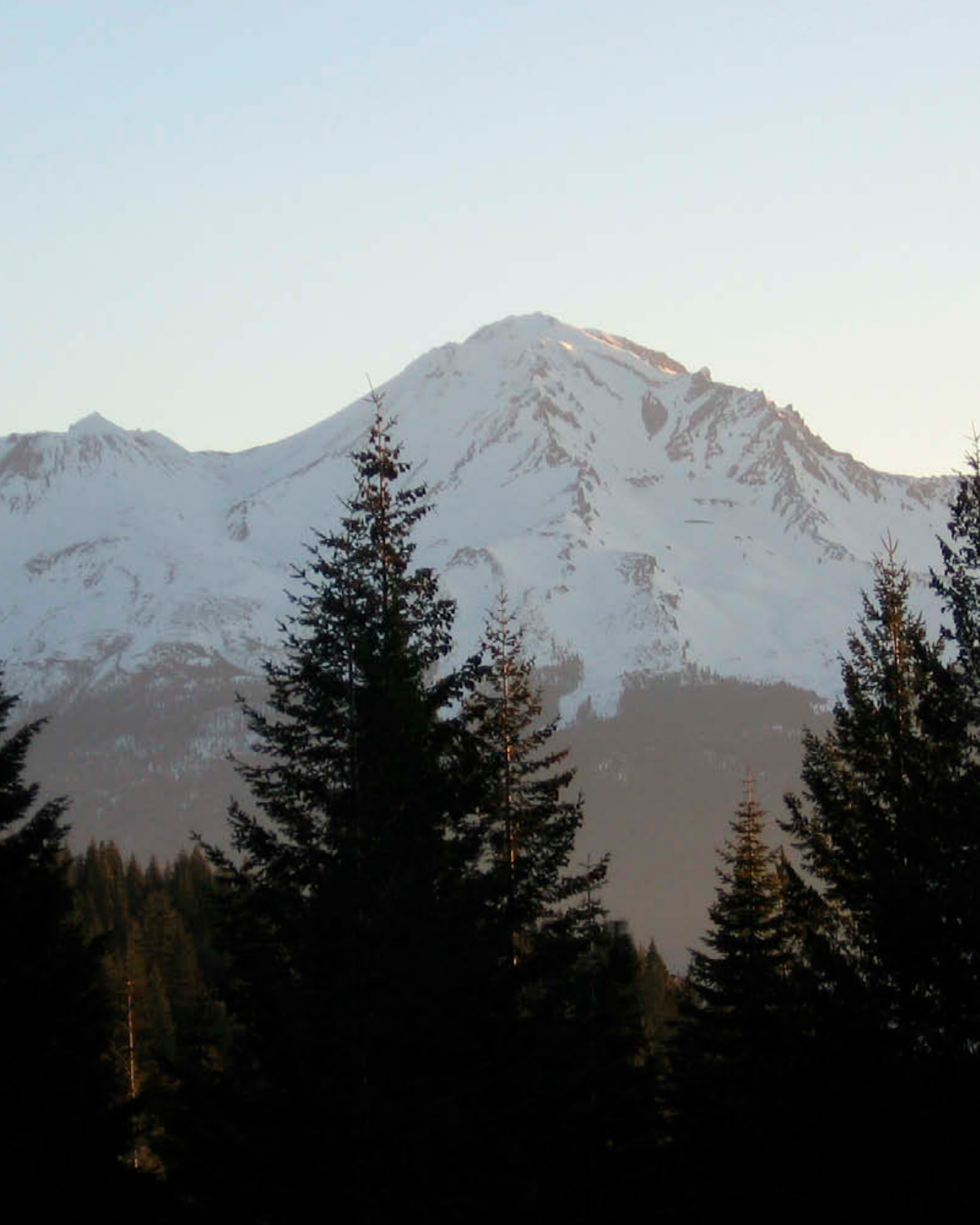![](_page_4_Picture_0.jpeg)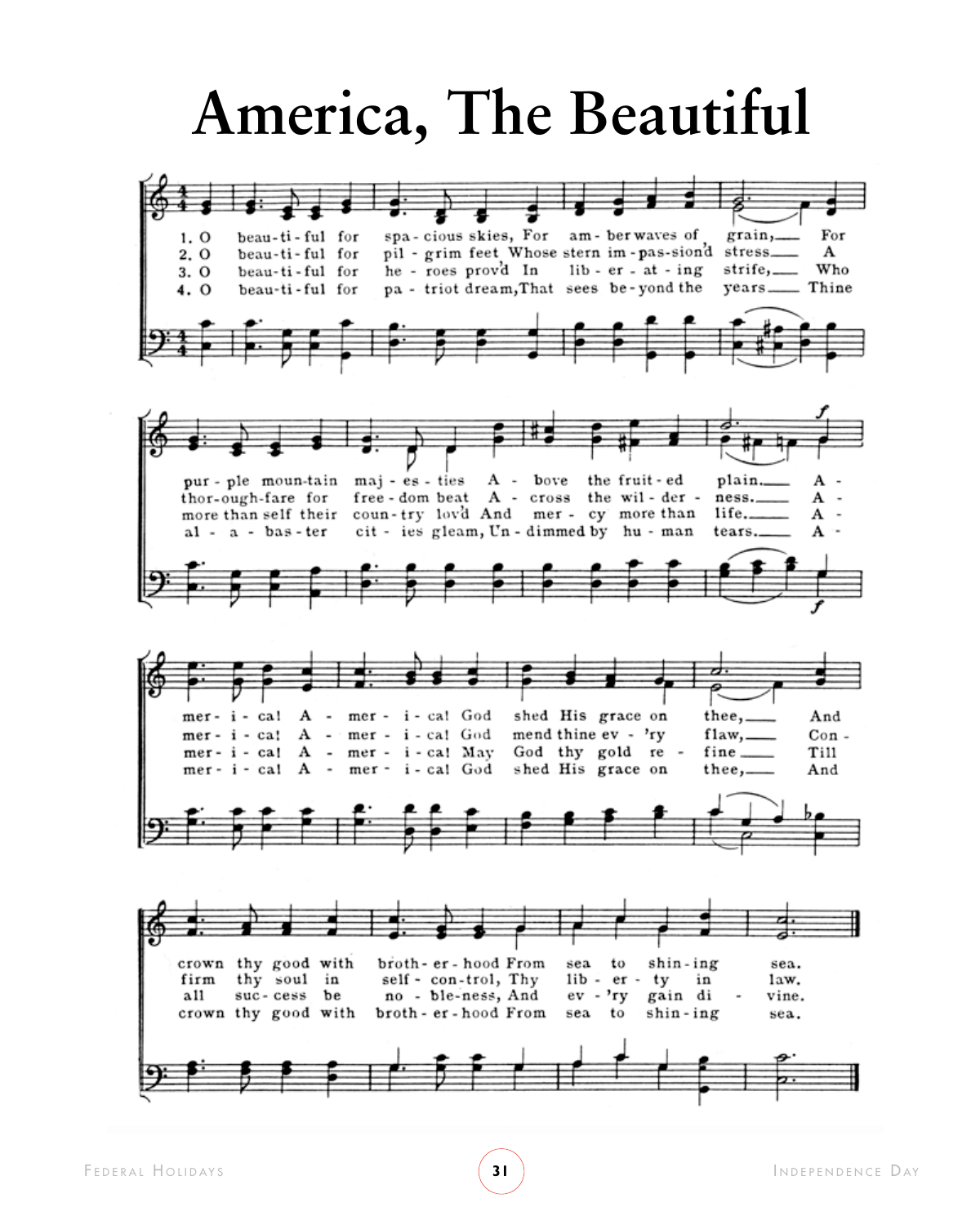## **America, The Beautiful**

![](_page_5_Figure_1.jpeg)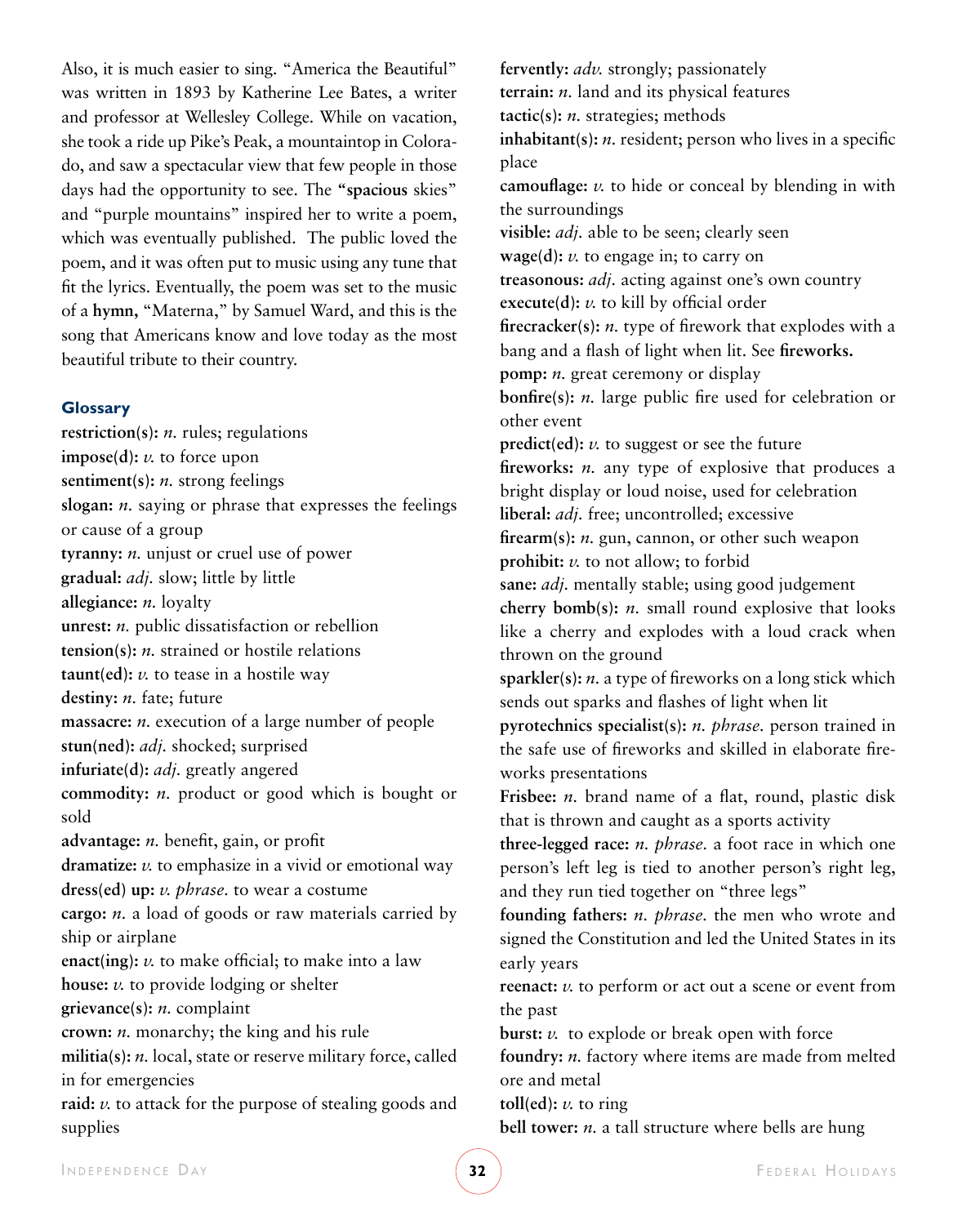Also, it is much easier to sing. "America the Beautiful" was written in 1893 by Katherine Lee Bates, a writer and professor at Wellesley College. While on vacation, she took a ride up Pike's Peak, a mountaintop in Colorado, and saw a spectacular view that few people in those days had the opportunity to see. The **"spacious** skies" and "purple mountains" inspired her to write a poem, which was eventually published. The public loved the poem, and it was often put to music using any tune that fit the lyrics. Eventually, the poem was set to the music of a **hymn,** "Materna," by Samuel Ward, and this is the song that Americans know and love today as the most beautiful tribute to their country.

#### **Glossary**

**restriction(s):** *n.* rules; regulations **impose(d):** *v.* to force upon **sentiment(s):** *n.* strong feelings **slogan:** *n.* saying or phrase that expresses the feelings or cause of a group **tyranny:** *n.* unjust or cruel use of power **gradual:** *adj.* slow; little by little **allegiance:** *n.* loyalty **unrest:** *n.* public dissatisfaction or rebellion **tension(s):** *n.* strained or hostile relations **taunt(ed):** *v.* to tease in a hostile way **destiny:** *n.* fate; future **massacre:** *n.* execution of a large number of people **stun(ned):** *adj.* shocked; surprised **infuriate(d):** *adj.* greatly angered **commodity:** *n.* product or good which is bought or sold **advantage:** *n.* benefit, gain, or profit **dramatize:** *v.* to emphasize in a vivid or emotional way **dress(ed) up:** *v. phrase.* to wear a costume **cargo:** *n.* a load of goods or raw materials carried by ship or airplane **enact(ing):** *v.* to make official; to make into a law **house:** *v.* to provide lodging or shelter **grievance(s):** *n.* complaint **crown:** *n.* monarchy; the king and his rule **militia(s):** *n.* local, state or reserve military force, called in for emergencies raid: *v*. to attack for the purpose of stealing goods and supplies

**fervently:** *adv.* strongly; passionately **terrain:** *n.* land and its physical features **tactic(s):** *n.* strategies; methods **inhabitant(s):** *n.* resident; person who lives in a specific place **camouflage:** *v.* to hide or conceal by blending in with the surroundings **visible:** *adj.* able to be seen; clearly seen **wage(d):** *v.* to engage in; to carry on **treasonous:** *adj.* acting against one's own country **execute(d):** *v.* to kill by official order **firecracker(s):** *n.* type of firework that explodes with a bang and a flash of light when lit. See **fireworks. pomp:** *n.* great ceremony or display **bonfire(s):** *n.* large public fire used for celebration or other event **predict(ed):** *v.* to suggest or see the future **fireworks:** *n.* any type of explosive that produces a bright display or loud noise, used for celebration **liberal:** *adj.* free; uncontrolled; excessive **firearm(s):** *n.* gun, cannon, or other such weapon **prohibit:** *v.* to not allow; to forbid **sane:** *adj.* mentally stable; using good judgement **cherry bomb(s):** *n.* small round explosive that looks like a cherry and explodes with a loud crack when thrown on the ground **sparkler(s):** *n.* a type of fireworks on a long stick which sends out sparks and flashes of light when lit **pyrotechnics specialist(s):** *n. phrase.* person trained in the safe use of fireworks and skilled in elaborate fireworks presentations **Frisbee:** *n.* brand name of a flat, round, plastic disk that is thrown and caught as a sports activity **three-legged race:** *n. phrase.* a foot race in which one person's left leg is tied to another person's right leg, and they run tied together on "three legs" **founding fathers:** *n. phrase.* the men who wrote and signed the Constitution and led the United States in its early years **reenact:** *v.* to perform or act out a scene or event from the past **burst:** *v.* to explode or break open with force **foundry:** *n.* factory where items are made from melted ore and metal **toll(ed):**  $\nu$ . to ring **bell tower:** *n.* a tall structure where bells are hung